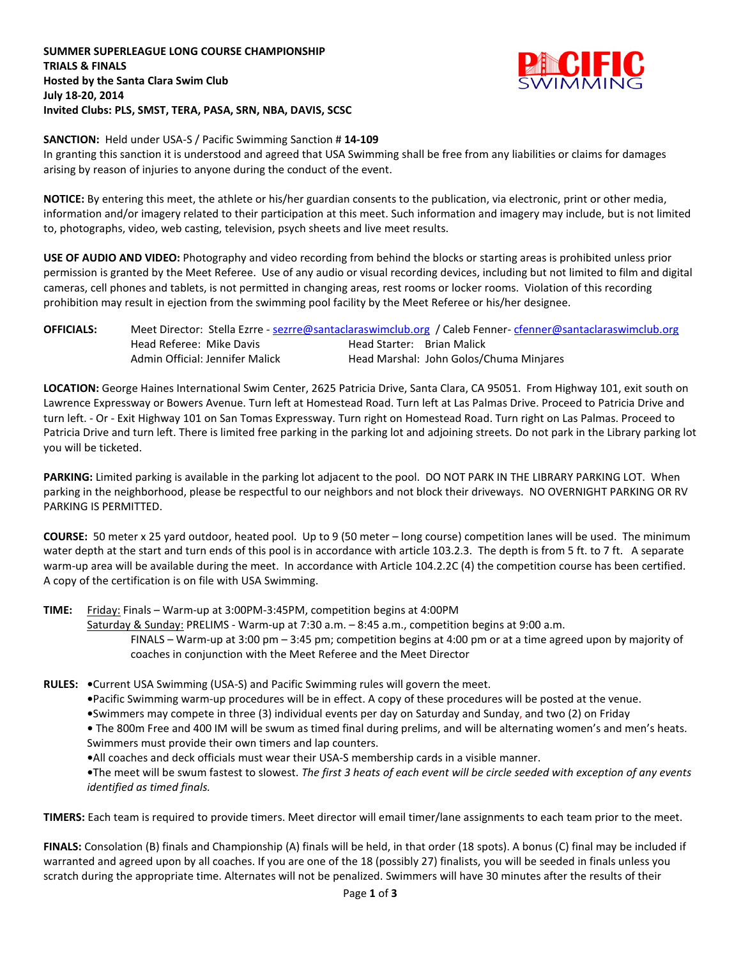## **SUMMER SUPERLEAGUE LONG COURSE CHAMPIONSHIP TRIALS & FINALS Hosted by the Santa Clara Swim Club July 18-20, 2014 Invited Clubs: PLS, SMST, TERA, PASA, SRN, NBA, DAVIS, SCSC**



## **SANCTION:** Held under USA-S / Pacific Swimming Sanction # **14-109**

In granting this sanction it is understood and agreed that USA Swimming shall be free from any liabilities or claims for damages arising by reason of injuries to anyone during the conduct of the event.

**NOTICE:** By entering this meet, the athlete or his/her guardian consents to the publication, via electronic, print or other media, information and/or imagery related to their participation at this meet. Such information and imagery may include, but is not limited to, photographs, video, web casting, television, psych sheets and live meet results.

**USE OF AUDIO AND VIDEO:** Photography and video recording from behind the blocks or starting areas is prohibited unless prior permission is granted by the Meet Referee. Use of any audio or visual recording devices, including but not limited to film and digital cameras, cell phones and tablets, is not permitted in changing areas, rest rooms or locker rooms. Violation of this recording prohibition may result in ejection from the swimming pool facility by the Meet Referee or his/her designee.

| <b>OFFICIALS:</b> |                          |                                 |                            | Meet Director: Stella Ezrre - sezrre@santaclaraswimclub.org / Caleb Fenner-cfenner@santaclaraswimclub.org |
|-------------------|--------------------------|---------------------------------|----------------------------|-----------------------------------------------------------------------------------------------------------|
|                   | Head Referee: Mike Davis |                                 | Head Starter: Brian Malick |                                                                                                           |
|                   |                          | Admin Official: Jennifer Malick |                            | Head Marshal: John Golos/Chuma Minjares                                                                   |

**LOCATION:** George Haines International Swim Center, 2625 Patricia Drive, Santa Clara, CA 95051. From Highway 101, exit south on Lawrence Expressway or Bowers Avenue. Turn left at Homestead Road. Turn left at Las Palmas Drive. Proceed to Patricia Drive and turn left. - Or - Exit Highway 101 on San Tomas Expressway. Turn right on Homestead Road. Turn right on Las Palmas. Proceed to Patricia Drive and turn left. There is limited free parking in the parking lot and adjoining streets. Do not park in the Library parking lot you will be ticketed.

**PARKING:** Limited parking is available in the parking lot adjacent to the pool. DO NOT PARK IN THE LIBRARY PARKING LOT. When parking in the neighborhood, please be respectful to our neighbors and not block their driveways. NO OVERNIGHT PARKING OR RV PARKING IS PERMITTED.

**COURSE:** 50 meter x 25 yard outdoor, heated pool. Up to 9 (50 meter – long course) competition lanes will be used. The minimum water depth at the start and turn ends of this pool is in accordance with article 103.2.3. The depth is from 5 ft. to 7 ft. A separate warm-up area will be available during the meet. In accordance with Article 104.2.2C (4) the competition course has been certified. A copy of the certification is on file with USA Swimming.

**TIME:** Friday: Finals – Warm-up at 3:00PM-3:45PM, competition begins at 4:00PM

Saturday & Sunday: PRELIMS - Warm-up at 7:30 a.m. – 8:45 a.m., competition begins at 9:00 a.m. FINALS – Warm-up at 3:00 pm – 3:45 pm; competition begins at 4:00 pm or at a time agreed upon by majority of coaches in conjunction with the Meet Referee and the Meet Director

**RULES: •**Current USA Swimming (USA-S) and Pacific Swimming rules will govern the meet.

**•**Pacific Swimming warm-up procedures will be in effect. A copy of these procedures will be posted at the venue.

**•**Swimmers may compete in three (3) individual events per day on Saturday and Sunday, and two (2) on Friday

**•** The 800m Free and 400 IM will be swum as timed final during prelims, and will be alternating women's and men's heats. Swimmers must provide their own timers and lap counters.

**•**All coaches and deck officials must wear their USA-S membership cards in a visible manner.

**•**The meet will be swum fastest to slowest. *The first 3 heats of each event will be circle seeded with exception of any events identified as timed finals.*

**TIMERS:** Each team is required to provide timers. Meet director will email timer/lane assignments to each team prior to the meet.

**FINALS:** Consolation (B) finals and Championship (A) finals will be held, in that order (18 spots). A bonus (C) final may be included if warranted and agreed upon by all coaches. If you are one of the 18 (possibly 27) finalists, you will be seeded in finals unless you scratch during the appropriate time. Alternates will not be penalized. Swimmers will have 30 minutes after the results of their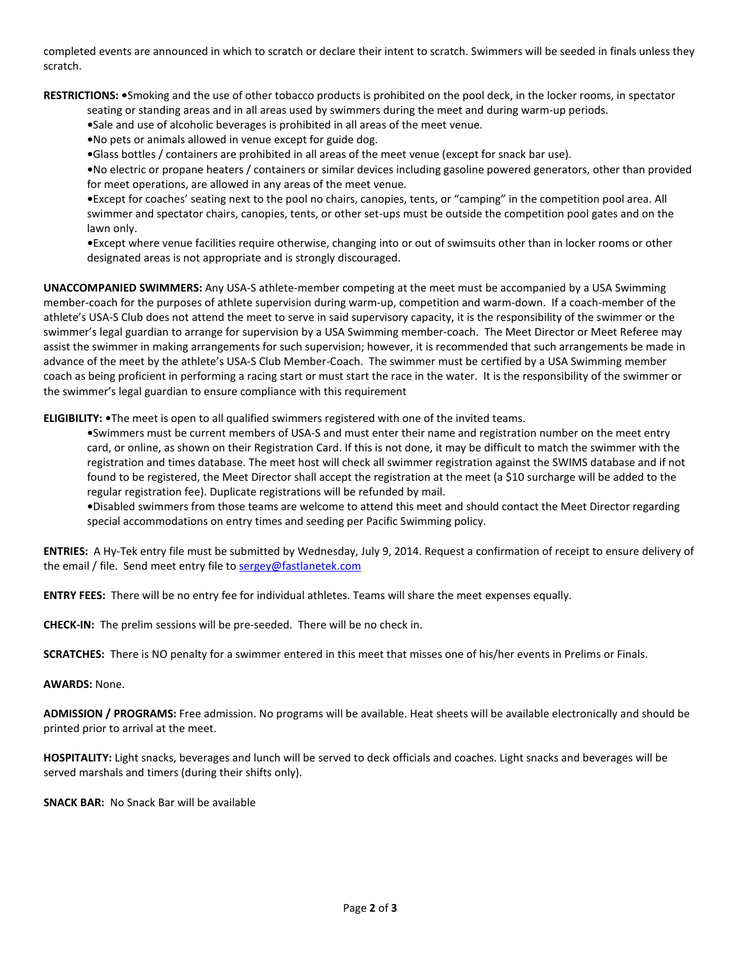completed events are announced in which to scratch or declare their intent to scratch. Swimmers will be seeded in finals unless they scratch.

**RESTRICTIONS: •**Smoking and the use of other tobacco products is prohibited on the pool deck, in the locker rooms, in spectator

seating or standing areas and in all areas used by swimmers during the meet and during warm-up periods.

- **•**Sale and use of alcoholic beverages is prohibited in all areas of the meet venue.
- **•**No pets or animals allowed in venue except for guide dog.
- **•**Glass bottles / containers are prohibited in all areas of the meet venue (except for snack bar use).

**•**No electric or propane heaters / containers or similar devices including gasoline powered generators, other than provided for meet operations, are allowed in any areas of the meet venue.

**•**Except for coaches' seating next to the pool no chairs, canopies, tents, or "camping" in the competition pool area. All swimmer and spectator chairs, canopies, tents, or other set-ups must be outside the competition pool gates and on the lawn only.

**•**Except where venue facilities require otherwise, changing into or out of swimsuits other than in locker rooms or other designated areas is not appropriate and is strongly discouraged.

**UNACCOMPANIED SWIMMERS:** Any USA-S athlete-member competing at the meet must be accompanied by a USA Swimming member-coach for the purposes of athlete supervision during warm-up, competition and warm-down. If a coach-member of the athlete's USA-S Club does not attend the meet to serve in said supervisory capacity, it is the responsibility of the swimmer or the swimmer's legal guardian to arrange for supervision by a USA Swimming member-coach. The Meet Director or Meet Referee may assist the swimmer in making arrangements for such supervision; however, it is recommended that such arrangements be made in advance of the meet by the athlete's USA-S Club Member-Coach. The swimmer must be certified by a USA Swimming member coach as being proficient in performing a racing start or must start the race in the water. It is the responsibility of the swimmer or the swimmer's legal guardian to ensure compliance with this requirement

**ELIGIBILITY: •**The meet is open to all qualified swimmers registered with one of the invited teams.

**•**Swimmers must be current members of USA-S and must enter their name and registration number on the meet entry card, or online, as shown on their Registration Card. If this is not done, it may be difficult to match the swimmer with the registration and times database. The meet host will check all swimmer registration against the SWIMS database and if not found to be registered, the Meet Director shall accept the registration at the meet (a \$10 surcharge will be added to the regular registration fee). Duplicate registrations will be refunded by mail.

**•**Disabled swimmers from those teams are welcome to attend this meet and should contact the Meet Director regarding special accommodations on entry times and seeding per Pacific Swimming policy.

**ENTRIES:** A Hy-Tek entry file must be submitted by Wednesday, July 9, 2014. Request a confirmation of receipt to ensure delivery of the email / file. Send meet entry file t[o sergey@fastlanetek.com](mailto:sergey@fastlanetek.com)

**ENTRY FEES:** There will be no entry fee for individual athletes. Teams will share the meet expenses equally.

**CHECK-IN:** The prelim sessions will be pre-seeded. There will be no check in.

**SCRATCHES:** There is NO penalty for a swimmer entered in this meet that misses one of his/her events in Prelims or Finals.

## **AWARDS:** None.

**ADMISSION / PROGRAMS:** Free admission. No programs will be available. Heat sheets will be available electronically and should be printed prior to arrival at the meet.

**HOSPITALITY:** Light snacks, beverages and lunch will be served to deck officials and coaches. Light snacks and beverages will be served marshals and timers (during their shifts only).

**SNACK BAR:** No Snack Bar will be available